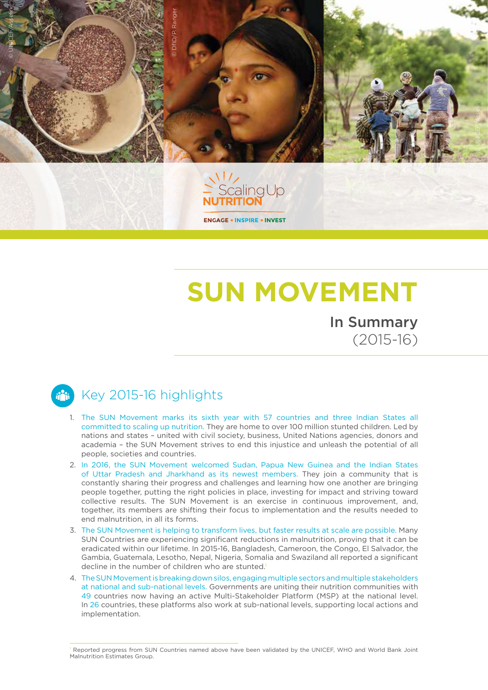

## In Summary **SUN MOVEMENT**

(2015-16)

## ii ii

## Key 2015-16 highlights

- 1. The SUN Movement marks its sixth year with 57 countries and three Indian States all committed to scaling up nutrition. They are home to over 100 million stunted children. Led by nations and states – united with civil society, business, United Nations agencies, donors and academia – the SUN Movement strives to end this injustice and unleash the potential of all people, societies and countries.
- 2. In 2016, the SUN Movement welcomed Sudan, Papua New Guinea and the Indian States of Uttar Pradesh and Jharkhand as its newest members. They join a community that is constantly sharing their progress and challenges and learning how one another are bringing people together, putting the right policies in place, investing for impact and striving toward collective results. The SUN Movement is an exercise in continuous improvement, and, together, its members are shifting their focus to implementation and the results needed to end malnutrition, in all its forms.
- 3. The SUN Movement is helping to transform lives, but faster results at scale are possible. Many SUN Countries are experiencing significant reductions in malnutrition, proving that it can be eradicated within our lifetime. In 2015-16, Bangladesh, Cameroon, the Congo, El Salvador, the Gambia, Guatemala, Lesotho, Nepal, Nigeria, Somalia and Swaziland all reported a significant decline in the number of children who are stunted.<sup>1</sup>
- 4. The SUN Movement is breaking down silos, engaging multiple sectors and multiple stakeholders at national and sub-national levels. Governments are uniting their nutrition communities with 49 countries now having an active Multi-Stakeholder Platform (MSP) at the national level. In 26 countries, these platforms also work at sub-national levels, supporting local actions and implementation.

Reported progress from SUN Countries named above have been validated by the UNICEF, WHO and World Bank Joint Malnutrition Estimates Group.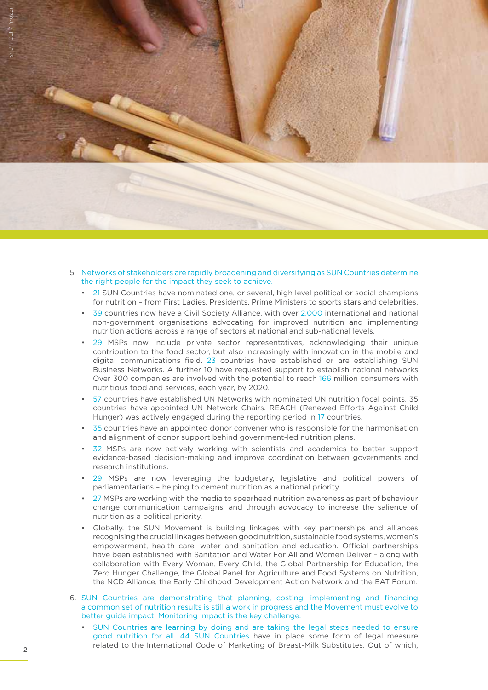

- 5. Networks of stakeholders are rapidly broadening and diversifying as SUN Countries determine the right people for the impact they seek to achieve.
	- 21 SUN Countries have nominated one, or several, high level political or social champions for nutrition – from First Ladies, Presidents, Prime Ministers to sports stars and celebrities.
	- 39 countries now have a Civil Society Alliance, with over 2,000 international and national non-government organisations advocating for improved nutrition and implementing nutrition actions across a range of sectors at national and sub-national levels.
	- 29 MSPs now include private sector representatives, acknowledging their unique contribution to the food sector, but also increasingly with innovation in the mobile and digital communications field. 23 countries have established or are establishing SUN Business Networks. A further 10 have requested support to establish national networks Over 300 companies are involved with the potential to reach 166 million consumers with nutritious food and services, each year, by 2020.
	- 57 countries have established UN Networks with nominated UN nutrition focal points. 35 countries have appointed UN Network Chairs. REACH (Renewed Efforts Against Child Hunger) was actively engaged during the reporting period in 17 countries.
	- 35 countries have an appointed donor convener who is responsible for the harmonisation and alignment of donor support behind government-led nutrition plans.
	- 32 MSPs are now actively working with scientists and academics to better support evidence-based decision-making and improve coordination between governments and research institutions.
	- 29 MSPs are now leveraging the budgetary, legislative and political powers of parliamentarians – helping to cement nutrition as a national priority.
	- 27 MSPs are working with the media to spearhead nutrition awareness as part of behaviour change communication campaigns, and through advocacy to increase the salience of nutrition as a political priority.
	- Globally, the SUN Movement is building linkages with key partnerships and alliances recognising the crucial linkages between good nutrition, sustainable food systems, women's empowerment, health care, water and sanitation and education. Official partnerships have been established with Sanitation and Water For All and Women Deliver – along with collaboration with Every Woman, Every Child, the Global Partnership for Education, the Zero Hunger Challenge, the Global Panel for Agriculture and Food Systems on Nutrition, the NCD Alliance, the Early Childhood Development Action Network and the EAT Forum.
- 6. SUN Countries are demonstrating that planning, costing, implementing and financing a common set of nutrition results is still a work in progress and the Movement must evolve to better guide impact. Monitoring impact is the key challenge.
	- SUN Countries are learning by doing and are taking the legal steps needed to ensure good nutrition for all. 44 SUN Countries have in place some form of legal measure related to the International Code of Marketing of Breast-Milk Substitutes. Out of which,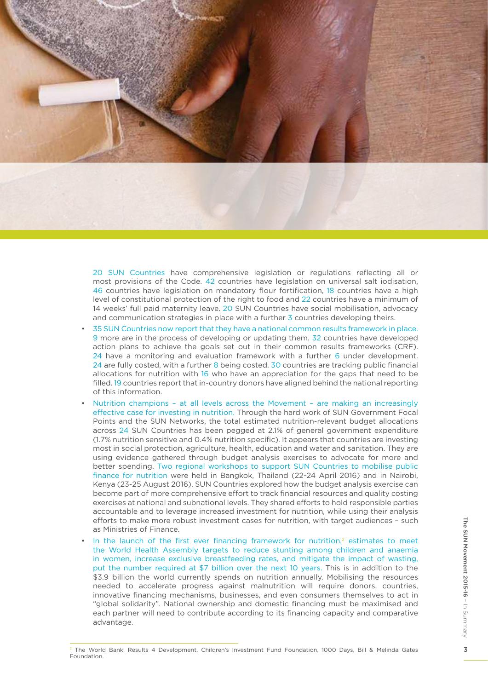

20 SUN Countries have comprehensive legislation or regulations reflecting all or most provisions of the Code. 42 countries have legislation on universal salt iodisation, 46 countries have legislation on mandatory flour fortification, 18 countries have a high level of constitutional protection of the right to food and 22 countries have a minimum of 14 weeks' full paid maternity leave. 20 SUN Countries have social mobilisation, advocacy and communication strategies in place with a further 3 countries developing theirs.

- 35 SUN Countries now report that they have a national common results framework in place. 9 more are in the process of developing or updating them. 32 countries have developed action plans to achieve the goals set out in their common results frameworks (CRF). 24 have a monitoring and evaluation framework with a further 6 under development. 24 are fully costed, with a further 8 being costed. 30 countries are tracking public financial allocations for nutrition with 16 who have an appreciation for the gaps that need to be filled. 19 countries report that in-country donors have aligned behind the national reporting of this information.
- Nutrition champions at all levels across the Movement are making an increasingly effective case for investing in nutrition. Through the hard work of SUN Government Focal Points and the SUN Networks, the total estimated nutrition-relevant budget allocations across 24 SUN Countries has been pegged at 2.1% of general government expenditure (1.7% nutrition sensitive and 0.4% nutrition specific). It appears that countries are investing most in social protection, agriculture, health, education and water and sanitation. They are using evidence gathered through budget analysis exercises to advocate for more and better spending. Two regional workshops to support SUN Countries to mobilise public finance for nutrition were held in Bangkok, Thailand (22-24 April 2016) and in Nairobi, Kenya (23-25 August 2016). SUN Countries explored how the budget analysis exercise can become part of more comprehensive effort to track financial resources and quality costing exercises at national and subnational levels. They shared efforts to hold responsible parties accountable and to leverage increased investment for nutrition, while using their analysis efforts to make more robust investment cases for nutrition, with target audiences – such as Ministries of Finance.
- In the launch of the first ever financing framework for nutrition, $2$  estimates to meet the World Health Assembly targets to reduce stunting among children and anaemia in women, increase exclusive breastfeeding rates, and mitigate the impact of wasting, put the number required at \$7 billion over the next 10 years. This is in addition to the \$3.9 billion the world currently spends on nutrition annually. Mobilising the resources needed to accelerate progress against malnutrition will require donors, countries, innovative financing mechanisms, businesses, and even consumers themselves to act in "global solidarity". National ownership and domestic financing must be maximised and each partner will need to contribute according to its financing capacity and comparative advantage.

<sup>2</sup> The World Bank, Results 4 Development, Children's Investment Fund Foundation, 1000 Days, Bill & Melinda Gates Foundation.